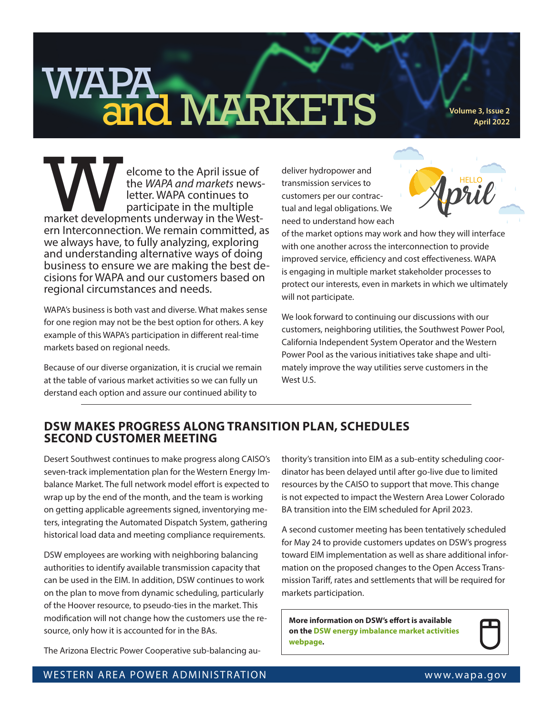## WAPA **and MARKETS** volume 3, Issue 2

**April 2022**

elcome to the April issue of<br>the *WAPA and markets* news<br>letter. WAPA continues to<br>participate in the multiple<br>market developments underway in the Westthe *WAPA and markets* news- letter. WAPA continues to participate in the multiple market developments underway in the West- ern Interconnection. We remain committed, as we always have, to fully analyzing, exploring and understanding alternative ways of doing business to ensure we are making the best de- cisions for WAPA and our customers based on regional circumstances and needs.

WAPA's business is both vast and diverse. What makes sense for one region may not be the best option for others. A key example of this WAPA's participation in different real-time markets based on regional needs.

Because of our diverse organization, it is crucial we remain at the table of various market activities so we can fully un derstand each option and assure our continued ability to

deliver hydropower and transmission services to customers per our contractual and legal obligations. We need to understand how each



of the market options may work and how they will interface with one another across the interconnection to provide improved service, efficiency and cost effectiveness. WAPA is engaging in multiple market stakeholder processes to protect our interests, even in markets in which we ultimately will not participate.

We look forward to continuing our discussions with our customers, neighboring utilities, the Southwest Power Pool, California Independent System Operator and the Western Power Pool as the various initiatives take shape and ultimately improve the way utilities serve customers in the West U.S.

## **DSW MAKES PROGRESS ALONG TRANSITION PLAN, SCHEDULES SECOND CUSTOMER MEETING**

Desert Southwest continues to make progress along CAISO's seven-track implementation plan for the Western Energy Imbalance Market. The full network model effort is expected to wrap up by the end of the month, and the team is working on getting applicable agreements signed, inventorying meters, integrating the Automated Dispatch System, gathering historical load data and meeting compliance requirements.

DSW employees are working with neighboring balancing authorities to identify available transmission capacity that can be used in the EIM. In addition, DSW continues to work on the plan to move from dynamic scheduling, particularly of the Hoover resource, to pseudo-ties in the market. This modification will not change how the customers use the resource, only how it is accounted for in the BAs.

The Arizona Electric Power Cooperative sub-balancing au-

thority's transition into EIM as a sub-entity scheduling coordinator has been delayed until after go-live due to limited resources by the CAISO to support that move. This change is not expected to impact the Western Area Lower Colorado BA transition into the EIM scheduled for April 2023.

A second customer meeting has been tentatively scheduled for May 24 to provide customers updates on DSW's progress toward EIM implementation as well as share additional information on the proposed changes to the Open Access Transmission Tariff, rates and settlements that will be required for markets participation.

**More information on DSW's effort is available on the [DSW energy imbalance market activities](https://www.wapa.gov/regions/DSW/Pages/DSW-EIM.aspx)  [webpage.](https://www.wapa.gov/regions/DSW/Pages/DSW-EIM.aspx)**